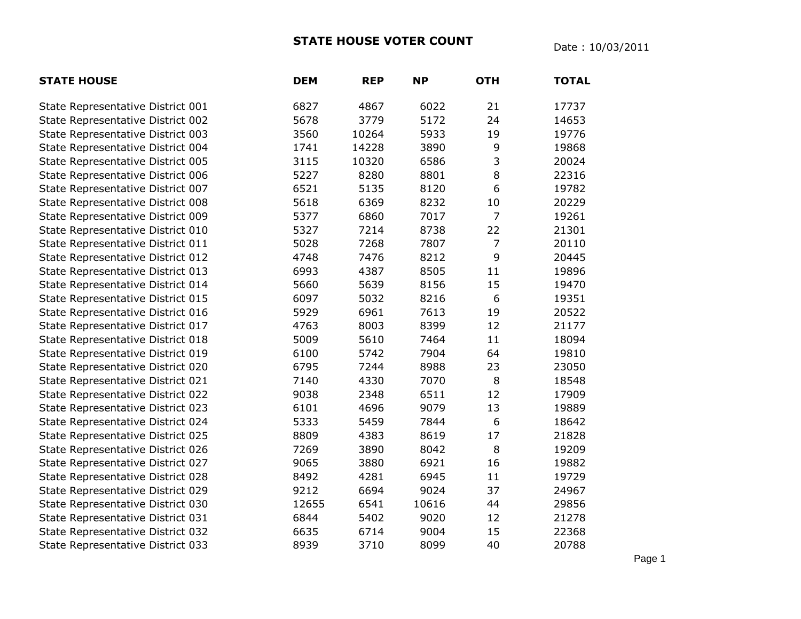## **STATE HOUSE VOTER COUNT** Date : 10/03/2011

| <b>STATE HOUSE</b>                | <b>DEM</b> | <b>REP</b> | <b>NP</b> | <b>OTH</b>     | <b>TOTAL</b> |
|-----------------------------------|------------|------------|-----------|----------------|--------------|
| State Representative District 001 | 6827       | 4867       | 6022      | 21             | 17737        |
| State Representative District 002 | 5678       | 3779       | 5172      | 24             | 14653        |
| State Representative District 003 | 3560       | 10264      | 5933      | 19             | 19776        |
| State Representative District 004 | 1741       | 14228      | 3890      | 9              | 19868        |
| State Representative District 005 | 3115       | 10320      | 6586      | 3              | 20024        |
| State Representative District 006 | 5227       | 8280       | 8801      | 8              | 22316        |
| State Representative District 007 | 6521       | 5135       | 8120      | 6              | 19782        |
| State Representative District 008 | 5618       | 6369       | 8232      | 10             | 20229        |
| State Representative District 009 | 5377       | 6860       | 7017      | $\overline{7}$ | 19261        |
| State Representative District 010 | 5327       | 7214       | 8738      | 22             | 21301        |
| State Representative District 011 | 5028       | 7268       | 7807      | 7              | 20110        |
| State Representative District 012 | 4748       | 7476       | 8212      | 9              | 20445        |
| State Representative District 013 | 6993       | 4387       | 8505      | 11             | 19896        |
| State Representative District 014 | 5660       | 5639       | 8156      | 15             | 19470        |
| State Representative District 015 | 6097       | 5032       | 8216      | 6              | 19351        |
| State Representative District 016 | 5929       | 6961       | 7613      | 19             | 20522        |
| State Representative District 017 | 4763       | 8003       | 8399      | 12             | 21177        |
| State Representative District 018 | 5009       | 5610       | 7464      | 11             | 18094        |
| State Representative District 019 | 6100       | 5742       | 7904      | 64             | 19810        |
| State Representative District 020 | 6795       | 7244       | 8988      | 23             | 23050        |
| State Representative District 021 | 7140       | 4330       | 7070      | 8              | 18548        |
| State Representative District 022 | 9038       | 2348       | 6511      | 12             | 17909        |
| State Representative District 023 | 6101       | 4696       | 9079      | 13             | 19889        |
| State Representative District 024 | 5333       | 5459       | 7844      | 6              | 18642        |
| State Representative District 025 | 8809       | 4383       | 8619      | 17             | 21828        |
| State Representative District 026 | 7269       | 3890       | 8042      | 8              | 19209        |
| State Representative District 027 | 9065       | 3880       | 6921      | 16             | 19882        |
| State Representative District 028 | 8492       | 4281       | 6945      | 11             | 19729        |
| State Representative District 029 | 9212       | 6694       | 9024      | 37             | 24967        |
| State Representative District 030 | 12655      | 6541       | 10616     | 44             | 29856        |
| State Representative District 031 | 6844       | 5402       | 9020      | 12             | 21278        |
| State Representative District 032 | 6635       | 6714       | 9004      | 15             | 22368        |
| State Representative District 033 | 8939       | 3710       | 8099      | 40             | 20788        |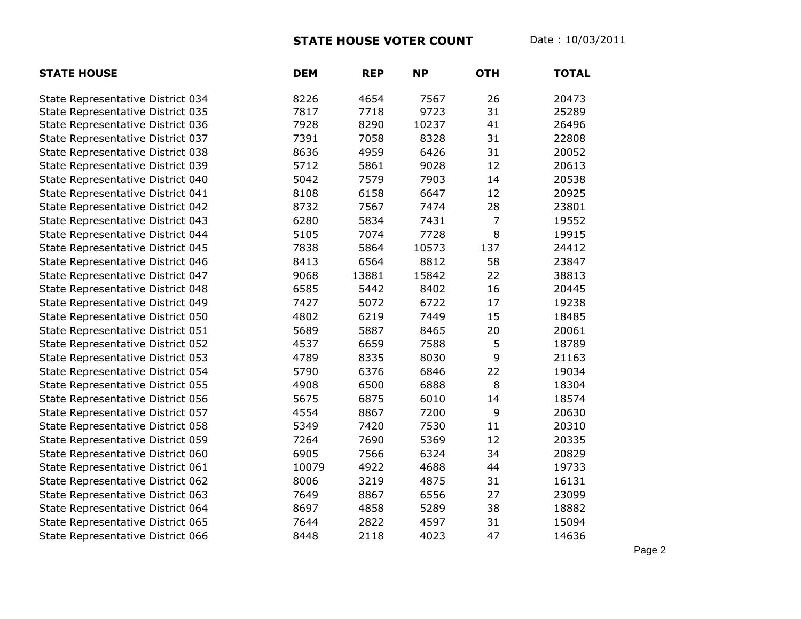## **STATE HOUSE VOTER COUNT** Date : 10/03/2011

| <b>STATE HOUSE</b>                | <b>DEM</b> | <b>REP</b> | <b>NP</b> | <b>OTH</b>     | <b>TOTAL</b> |
|-----------------------------------|------------|------------|-----------|----------------|--------------|
| State Representative District 034 | 8226       | 4654       | 7567      | 26             | 20473        |
| State Representative District 035 | 7817       | 7718       | 9723      | 31             | 25289        |
| State Representative District 036 | 7928       | 8290       | 10237     | 41             | 26496        |
| State Representative District 037 | 7391       | 7058       | 8328      | 31             | 22808        |
| State Representative District 038 | 8636       | 4959       | 6426      | 31             | 20052        |
| State Representative District 039 | 5712       | 5861       | 9028      | 12             | 20613        |
| State Representative District 040 | 5042       | 7579       | 7903      | 14             | 20538        |
| State Representative District 041 | 8108       | 6158       | 6647      | 12             | 20925        |
| State Representative District 042 | 8732       | 7567       | 7474      | 28             | 23801        |
| State Representative District 043 | 6280       | 5834       | 7431      | $\overline{7}$ | 19552        |
| State Representative District 044 | 5105       | 7074       | 7728      | 8              | 19915        |
| State Representative District 045 | 7838       | 5864       | 10573     | 137            | 24412        |
| State Representative District 046 | 8413       | 6564       | 8812      | 58             | 23847        |
| State Representative District 047 | 9068       | 13881      | 15842     | 22             | 38813        |
| State Representative District 048 | 6585       | 5442       | 8402      | 16             | 20445        |
| State Representative District 049 | 7427       | 5072       | 6722      | 17             | 19238        |
| State Representative District 050 | 4802       | 6219       | 7449      | 15             | 18485        |
| State Representative District 051 | 5689       | 5887       | 8465      | 20             | 20061        |
| State Representative District 052 | 4537       | 6659       | 7588      | 5              | 18789        |
| State Representative District 053 | 4789       | 8335       | 8030      | 9              | 21163        |
| State Representative District 054 | 5790       | 6376       | 6846      | 22             | 19034        |
| State Representative District 055 | 4908       | 6500       | 6888      | 8              | 18304        |
| State Representative District 056 | 5675       | 6875       | 6010      | 14             | 18574        |
| State Representative District 057 | 4554       | 8867       | 7200      | 9              | 20630        |
| State Representative District 058 | 5349       | 7420       | 7530      | 11             | 20310        |
| State Representative District 059 | 7264       | 7690       | 5369      | 12             | 20335        |
| State Representative District 060 | 6905       | 7566       | 6324      | 34             | 20829        |
| State Representative District 061 | 10079      | 4922       | 4688      | 44             | 19733        |
| State Representative District 062 | 8006       | 3219       | 4875      | 31             | 16131        |
| State Representative District 063 | 7649       | 8867       | 6556      | 27             | 23099        |
| State Representative District 064 | 8697       | 4858       | 5289      | 38             | 18882        |
| State Representative District 065 | 7644       | 2822       | 4597      | 31             | 15094        |
| State Representative District 066 | 8448       | 2118       | 4023      | 47             | 14636        |